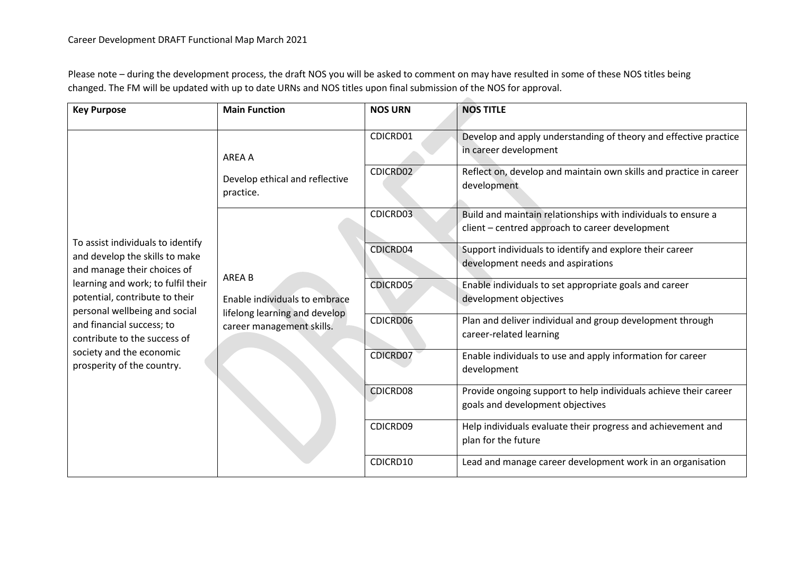Please note – during the development process, the draft NOS you will be asked to comment on may have resulted in some of these NOS titles being changed. The FM will be updated with up to date URNs and NOS titles upon final submission of the NOS for approval.

| <b>Key Purpose</b>                                                                                                                                                                                                                                                                                                                 | <b>Main Function</b>                                                                                  | <b>NOS URN</b>  | <b>NOS TITLE</b>                                                                                     |
|------------------------------------------------------------------------------------------------------------------------------------------------------------------------------------------------------------------------------------------------------------------------------------------------------------------------------------|-------------------------------------------------------------------------------------------------------|-----------------|------------------------------------------------------------------------------------------------------|
| To assist individuals to identify<br>and develop the skills to make<br>and manage their choices of<br>learning and work; to fulfil their<br>potential, contribute to their<br>personal wellbeing and social<br>and financial success; to<br>contribute to the success of<br>society and the economic<br>prosperity of the country. | AREA A<br>Develop ethical and reflective<br>practice.                                                 | CDICRD01        | Develop and apply understanding of theory and effective practice<br>in career development            |
|                                                                                                                                                                                                                                                                                                                                    |                                                                                                       | CDICRD02        | Reflect on, develop and maintain own skills and practice in career<br>development                    |
|                                                                                                                                                                                                                                                                                                                                    | AREA B<br>Enable individuals to embrace<br>lifelong learning and develop<br>career management skills. | CDICRD03        | Build and maintain relationships with individuals to ensure a                                        |
|                                                                                                                                                                                                                                                                                                                                    |                                                                                                       |                 | client - centred approach to career development                                                      |
|                                                                                                                                                                                                                                                                                                                                    |                                                                                                       | CDICRD04        | Support individuals to identify and explore their career                                             |
|                                                                                                                                                                                                                                                                                                                                    |                                                                                                       |                 | development needs and aspirations                                                                    |
|                                                                                                                                                                                                                                                                                                                                    |                                                                                                       | <b>CDICRD05</b> | Enable individuals to set appropriate goals and career                                               |
|                                                                                                                                                                                                                                                                                                                                    |                                                                                                       |                 | development objectives                                                                               |
|                                                                                                                                                                                                                                                                                                                                    |                                                                                                       | CDICRD06        | Plan and deliver individual and group development through<br>career-related learning                 |
|                                                                                                                                                                                                                                                                                                                                    |                                                                                                       | <b>CDICRD07</b> | Enable individuals to use and apply information for career<br>development                            |
|                                                                                                                                                                                                                                                                                                                                    |                                                                                                       | CDICRD08        | Provide ongoing support to help individuals achieve their career<br>goals and development objectives |
|                                                                                                                                                                                                                                                                                                                                    |                                                                                                       | CDICRD09        | Help individuals evaluate their progress and achievement and<br>plan for the future                  |
|                                                                                                                                                                                                                                                                                                                                    |                                                                                                       | CDICRD10        | Lead and manage career development work in an organisation                                           |